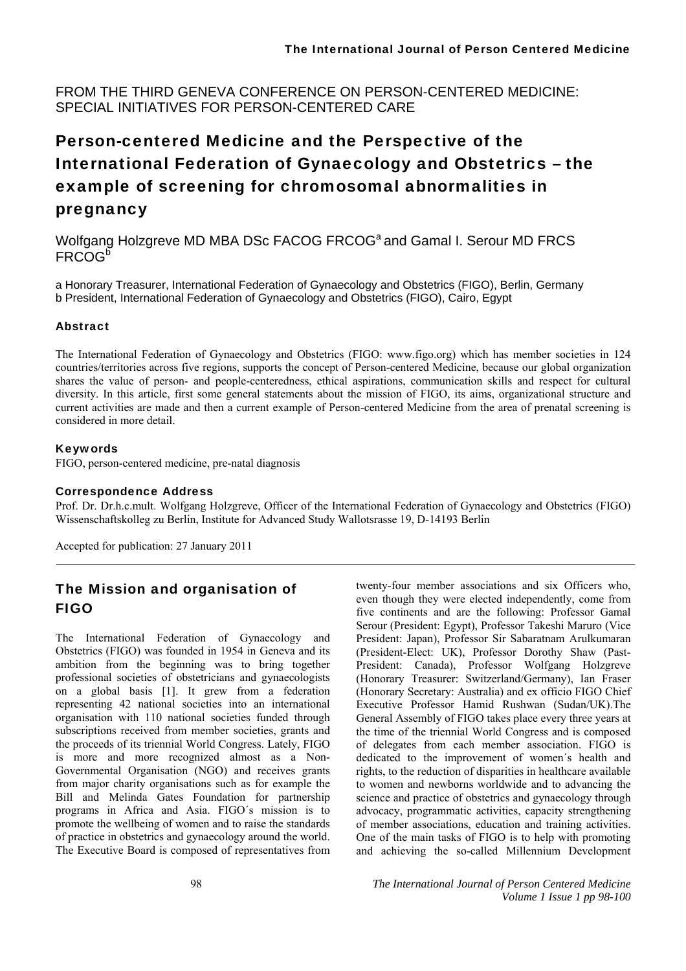FROM THE THIRD GENEVA CONFERENCE ON PERSON-CENTERED MEDICINE: SPECIAL INITIATIVES FOR PERSON-CENTERED CARE

# Person-centered Medicine and the Perspective of the International Federation of Gynaecology and Obstetrics – the example of screening for chromosomal abnormalities in pregnancy

Wolfgang Holzgreve MD MBA DSc FACOG FRCOG<sup>a</sup> and Gamal I. Serour MD FRCS FRCOG<sup>b</sup>

a Honorary Treasurer, International Federation of Gynaecology and Obstetrics (FIGO), Berlin, Germany b President, International Federation of Gynaecology and Obstetrics (FIGO), Cairo, Egypt

#### Abstract

The International Federation of Gynaecology and Obstetrics (FIGO: www.figo.org) which has member societies in 124 countries/territories across five regions, supports the concept of Person-centered Medicine, because our global organization shares the value of person- and people-centeredness, ethical aspirations, communication skills and respect for cultural diversity. In this article, first some general statements about the mission of FIGO, its aims, organizational structure and current activities are made and then a current example of Person-centered Medicine from the area of prenatal screening is considered in more detail.

#### Keywords

FIGO, person-centered medicine, pre-natal diagnosis

#### Correspondence Address

Prof. Dr. Dr.h.c.mult. Wolfgang Holzgreve, Officer of the International Federation of Gynaecology and Obstetrics (FIGO) Wissenschaftskolleg zu Berlin, Institute for Advanced Study Wallotsrasse 19, D-14193 Berlin

Accepted for publication: 27 January 2011

### The Mission and organisation of FIGO

The International Federation of Gynaecology and Obstetrics (FIGO) was founded in 1954 in Geneva and its ambition from the beginning was to bring together professional societies of obstetricians and gynaecologists on a global basis [1]. It grew from a federation representing 42 national societies into an international organisation with 110 national societies funded through subscriptions received from member societies, grants and the proceeds of its triennial World Congress. Lately, FIGO is more and more recognized almost as a Non-Governmental Organisation (NGO) and receives grants from major charity organisations such as for example the Bill and Melinda Gates Foundation for partnership programs in Africa and Asia. FIGO´s mission is to promote the wellbeing of women and to raise the standards of practice in obstetrics and gynaecology around the world. The Executive Board is composed of representatives from

twenty-four member associations and six Officers who, even though they were elected independently, come from five continents and are the following: Professor Gamal Serour (President: Egypt), Professor Takeshi Maruro (Vice President: Japan), Professor Sir Sabaratnam Arulkumaran (President-Elect: UK), Professor Dorothy Shaw (Past-President: Canada), Professor Wolfgang Holzgreve (Honorary Treasurer: Switzerland/Germany), Ian Fraser (Honorary Secretary: Australia) and ex officio FIGO Chief Executive Professor Hamid Rushwan (Sudan/UK).The General Assembly of FIGO takes place every three years at the time of the triennial World Congress and is composed of delegates from each member association. FIGO is dedicated to the improvement of women´s health and rights, to the reduction of disparities in healthcare available to women and newborns worldwide and to advancing the science and practice of obstetrics and gynaecology through advocacy, programmatic activities, capacity strengthening of member associations, education and training activities. One of the main tasks of FIGO is to help with promoting and achieving the so-called Millennium Development

98 *The International Journal of Person Centered Medicine Volume 1 Issue 1 pp 98-100*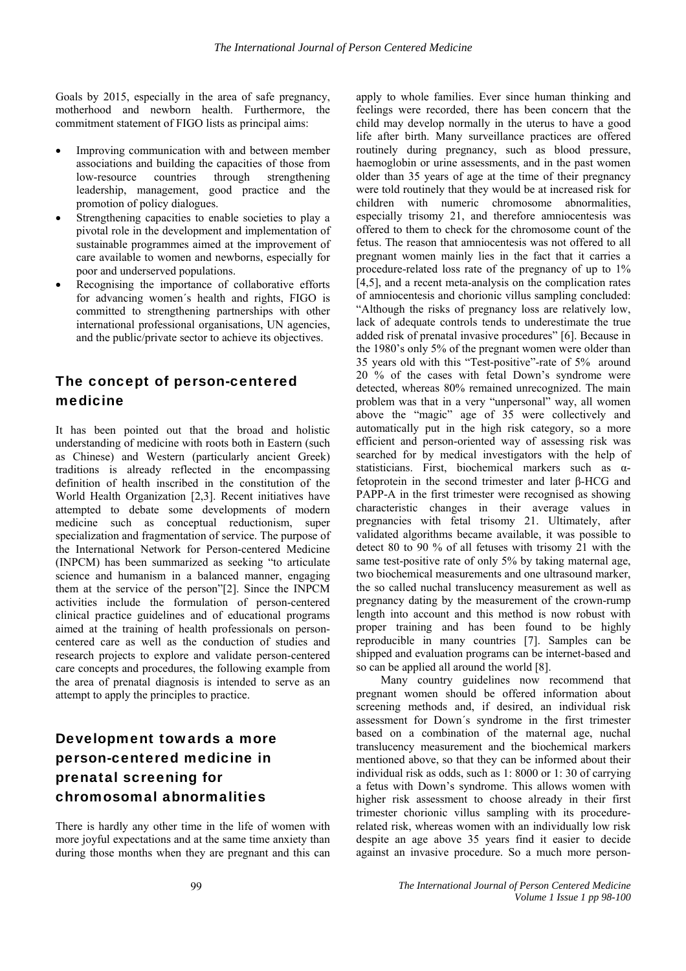Goals by 2015, especially in the area of safe pregnancy, motherhood and newborn health. Furthermore, the commitment statement of FIGO lists as principal aims:

- Improving communication with and between member associations and building the capacities of those from low-resource countries through strengthening leadership, management, good practice and the promotion of policy dialogues.
- Strengthening capacities to enable societies to play a pivotal role in the development and implementation of sustainable programmes aimed at the improvement of care available to women and newborns, especially for poor and underserved populations.
- Recognising the importance of collaborative efforts for advancing women´s health and rights, FIGO is committed to strengthening partnerships with other international professional organisations, UN agencies, and the public/private sector to achieve its objectives.

### The concept of person-centered medicine

It has been pointed out that the broad and holistic understanding of medicine with roots both in Eastern (such as Chinese) and Western (particularly ancient Greek) traditions is already reflected in the encompassing definition of health inscribed in the constitution of the World Health Organization [2,3]. Recent initiatives have attempted to debate some developments of modern medicine such as conceptual reductionism, super specialization and fragmentation of service. The purpose of the International Network for Person-centered Medicine (INPCM) has been summarized as seeking "to articulate science and humanism in a balanced manner, engaging them at the service of the person"[2]. Since the INPCM activities include the formulation of person-centered clinical practice guidelines and of educational programs aimed at the training of health professionals on personcentered care as well as the conduction of studies and research projects to explore and validate person-centered care concepts and procedures, the following example from the area of prenatal diagnosis is intended to serve as an attempt to apply the principles to practice.

# Development towards a more person-centered medicine in prenatal screening for chromosomal abnormalities

There is hardly any other time in the life of women with more joyful expectations and at the same time anxiety than during those months when they are pregnant and this can

apply to whole families. Ever since human thinking and feelings were recorded, there has been concern that the child may develop normally in the uterus to have a good life after birth. Many surveillance practices are offered routinely during pregnancy, such as blood pressure, haemoglobin or urine assessments, and in the past women older than 35 years of age at the time of their pregnancy were told routinely that they would be at increased risk for children with numeric chromosome abnormalities, especially trisomy 21, and therefore amniocentesis was offered to them to check for the chromosome count of the fetus. The reason that amniocentesis was not offered to all pregnant women mainly lies in the fact that it carries a procedure-related loss rate of the pregnancy of up to 1% [4,5], and a recent meta-analysis on the complication rates of amniocentesis and chorionic villus sampling concluded: "Although the risks of pregnancy loss are relatively low, lack of adequate controls tends to underestimate the true added risk of prenatal invasive procedures" [6]. Because in the 1980's only 5% of the pregnant women were older than 35 years old with this "Test-positive"-rate of 5% around 20 % of the cases with fetal Down's syndrome were detected, whereas 80% remained unrecognized. The main problem was that in a very "unpersonal" way, all women above the "magic" age of 35 were collectively and automatically put in the high risk category, so a more efficient and person-oriented way of assessing risk was searched for by medical investigators with the help of statisticians. First, biochemical markers such as αfetoprotein in the second trimester and later β-HCG and PAPP-A in the first trimester were recognised as showing characteristic changes in their average values in pregnancies with fetal trisomy 21. Ultimately, after validated algorithms became available, it was possible to detect 80 to 90 % of all fetuses with trisomy 21 with the same test-positive rate of only 5% by taking maternal age, two biochemical measurements and one ultrasound marker, the so called nuchal translucency measurement as well as pregnancy dating by the measurement of the crown-rump length into account and this method is now robust with proper training and has been found to be highly reproducible in many countries [7]. Samples can be shipped and evaluation programs can be internet-based and so can be applied all around the world [8].

Many country guidelines now recommend that pregnant women should be offered information about screening methods and, if desired, an individual risk assessment for Down´s syndrome in the first trimester based on a combination of the maternal age, nuchal translucency measurement and the biochemical markers mentioned above, so that they can be informed about their individual risk as odds, such as 1: 8000 or 1: 30 of carrying a fetus with Down's syndrome. This allows women with higher risk assessment to choose already in their first trimester chorionic villus sampling with its procedurerelated risk, whereas women with an individually low risk despite an age above 35 years find it easier to decide against an invasive procedure. So a much more person